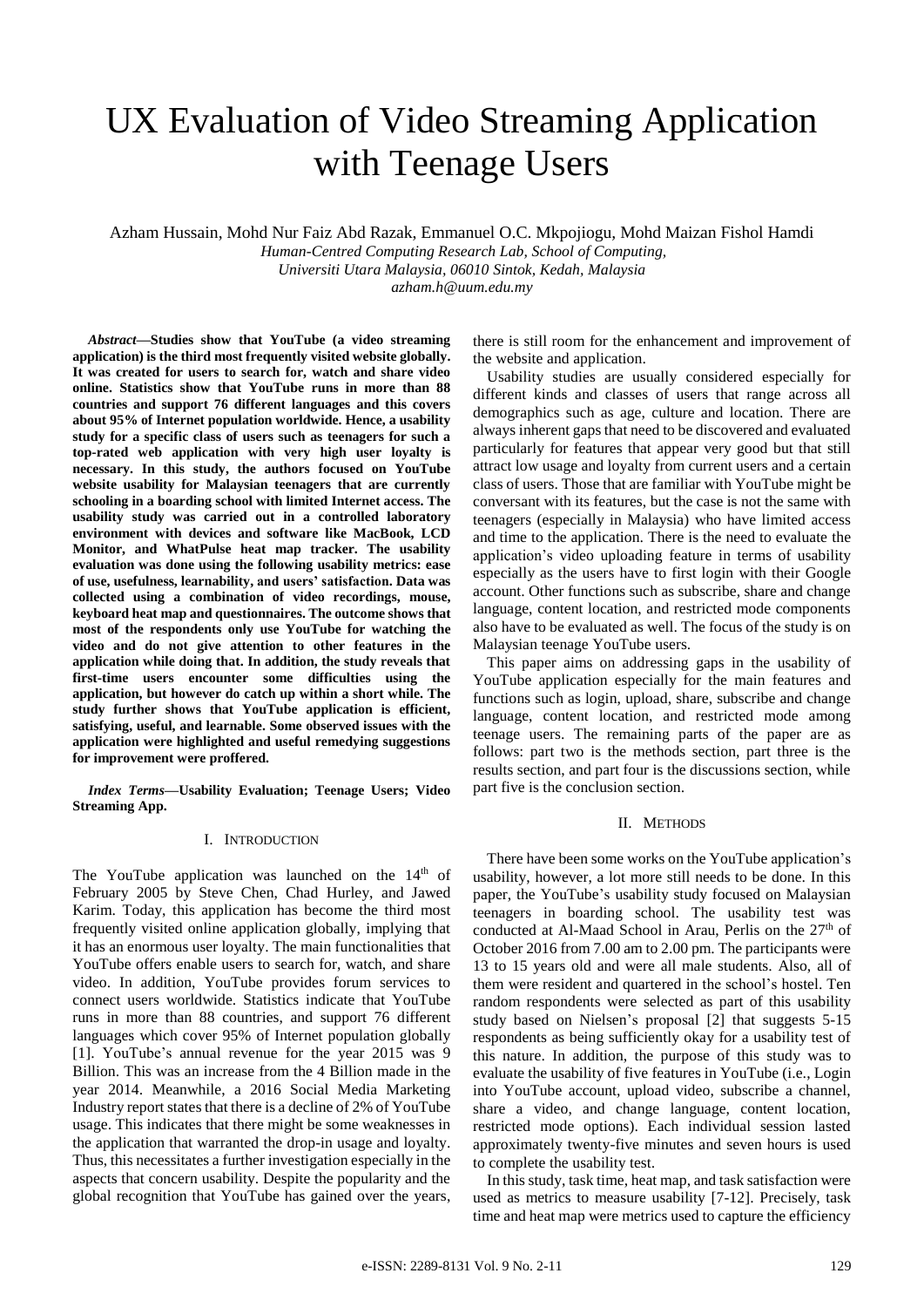# UX Evaluation of Video Streaming Application with Teenage Users

Azham Hussain, Mohd Nur Faiz Abd Razak, Emmanuel O.C. Mkpojiogu*,* Mohd Maizan Fishol Hamdi

*Human-Centred Computing Research Lab, School of Computing, Universiti Utara Malaysia, 06010 Sintok, Kedah, Malaysia*

*azham.h@uum.edu.my*

*Abstract***—Studies show that YouTube (a video streaming application) is the third most frequently visited website globally. It was created for users to search for, watch and share video online. Statistics show that YouTube runs in more than 88 countries and support 76 different languages and this covers about 95% of Internet population worldwide. Hence, a usability study for a specific class of users such as teenagers for such a top-rated web application with very high user loyalty is necessary. In this study, the authors focused on YouTube website usability for Malaysian teenagers that are currently schooling in a boarding school with limited Internet access. The usability study was carried out in a controlled laboratory environment with devices and software like MacBook, LCD Monitor, and WhatPulse heat map tracker. The usability evaluation was done using the following usability metrics: ease of use, usefulness, learnability, and users' satisfaction. Data was collected using a combination of video recordings, mouse, keyboard heat map and questionnaires. The outcome shows that most of the respondents only use YouTube for watching the video and do not give attention to other features in the application while doing that. In addition, the study reveals that first-time users encounter some difficulties using the application, but however do catch up within a short while. The study further shows that YouTube application is efficient, satisfying, useful, and learnable. Some observed issues with the application were highlighted and useful remedying suggestions for improvement were proffered.**

*Index Terms***—Usability Evaluation; Teenage Users; Video Streaming App.**

# I. INTRODUCTION

The YouTube application was launched on the 14<sup>th</sup> of February 2005 by Steve Chen, Chad Hurley, and Jawed Karim. Today, this application has become the third most frequently visited online application globally, implying that it has an enormous user loyalty. The main functionalities that YouTube offers enable users to search for, watch, and share video. In addition, YouTube provides forum services to connect users worldwide. Statistics indicate that YouTube runs in more than 88 countries, and support 76 different languages which cover 95% of Internet population globally [1]. YouTube's annual revenue for the year 2015 was 9 Billion. This was an increase from the 4 Billion made in the year 2014. Meanwhile, a 2016 Social Media Marketing Industry report states that there is a decline of 2% of YouTube usage. This indicates that there might be some weaknesses in the application that warranted the drop-in usage and loyalty. Thus, this necessitates a further investigation especially in the aspects that concern usability. Despite the popularity and the global recognition that YouTube has gained over the years,

there is still room for the enhancement and improvement of the website and application.

Usability studies are usually considered especially for different kinds and classes of users that range across all demographics such as age, culture and location. There are always inherent gaps that need to be discovered and evaluated particularly for features that appear very good but that still attract low usage and loyalty from current users and a certain class of users. Those that are familiar with YouTube might be conversant with its features, but the case is not the same with teenagers (especially in Malaysia) who have limited access and time to the application. There is the need to evaluate the application's video uploading feature in terms of usability especially as the users have to first login with their Google account. Other functions such as subscribe, share and change language, content location, and restricted mode components also have to be evaluated as well. The focus of the study is on Malaysian teenage YouTube users.

This paper aims on addressing gaps in the usability of YouTube application especially for the main features and functions such as login, upload, share, subscribe and change language, content location, and restricted mode among teenage users. The remaining parts of the paper are as follows: part two is the methods section, part three is the results section, and part four is the discussions section, while part five is the conclusion section.

#### II. METHODS

There have been some works on the YouTube application's usability, however, a lot more still needs to be done. In this paper, the YouTube's usability study focused on Malaysian teenagers in boarding school. The usability test was conducted at Al-Maad School in Arau, Perlis on the 27<sup>th</sup> of October 2016 from 7.00 am to 2.00 pm. The participants were 13 to 15 years old and were all male students. Also, all of them were resident and quartered in the school's hostel. Ten random respondents were selected as part of this usability study based on Nielsen's proposal [2] that suggests 5-15 respondents as being sufficiently okay for a usability test of this nature. In addition, the purpose of this study was to evaluate the usability of five features in YouTube (i.e., Login into YouTube account, upload video, subscribe a channel, share a video, and change language, content location, restricted mode options). Each individual session lasted approximately twenty-five minutes and seven hours is used to complete the usability test.

In this study, task time, heat map, and task satisfaction were used as metrics to measure usability [7-12]. Precisely, task time and heat map were metrics used to capture the efficiency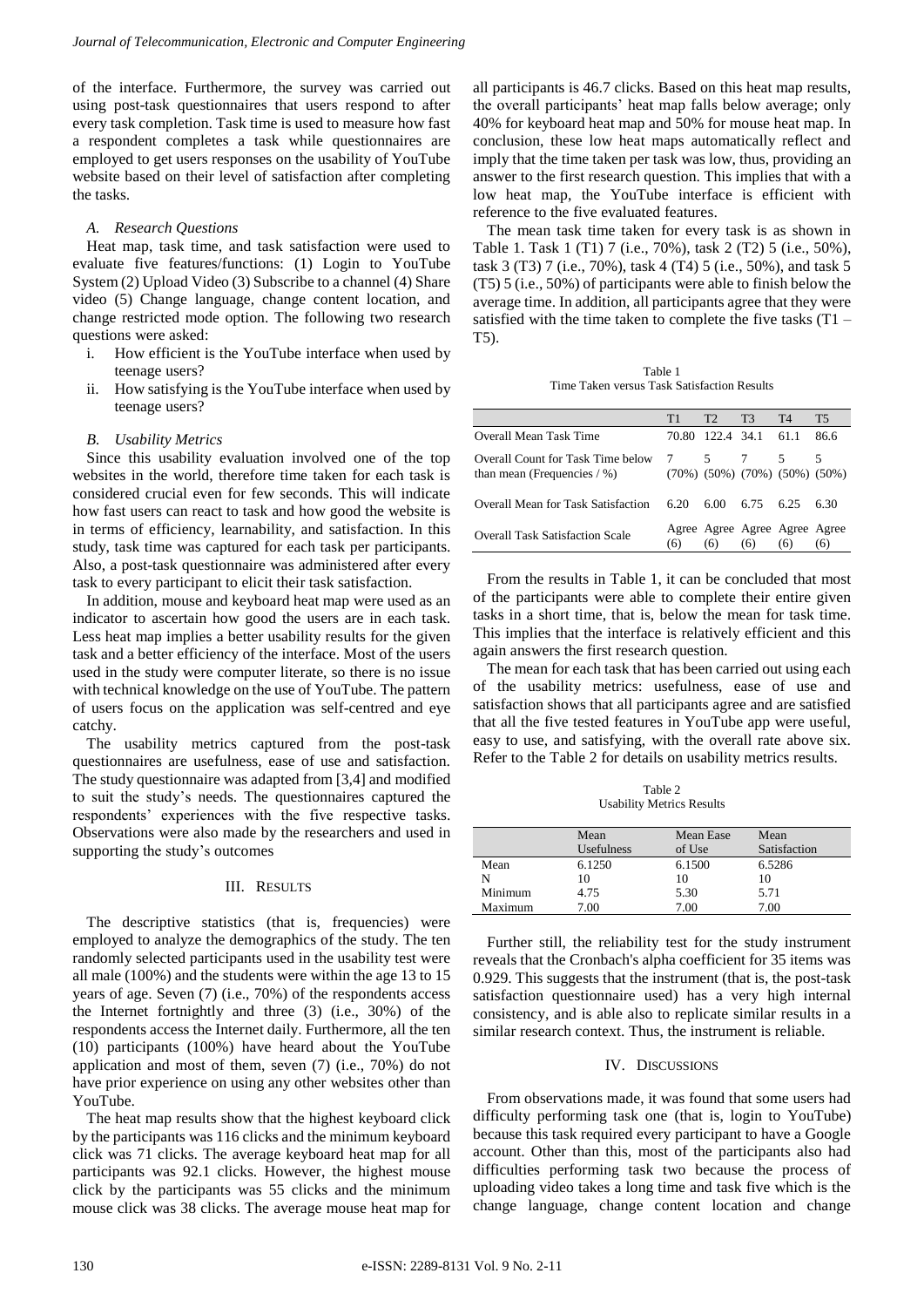of the interface. Furthermore, the survey was carried out using post-task questionnaires that users respond to after every task completion. Task time is used to measure how fast a respondent completes a task while questionnaires are employed to get users responses on the usability of YouTube website based on their level of satisfaction after completing the tasks.

## *A. Research Questions*

Heat map, task time, and task satisfaction were used to evaluate five features/functions: (1) Login to YouTube System (2) Upload Video (3) Subscribe to a channel (4) Share video (5) Change language, change content location, and change restricted mode option. The following two research questions were asked:

- i. How efficient is the YouTube interface when used by teenage users?
- ii. How satisfying is the YouTube interface when used by teenage users?

#### *B. Usability Metrics*

Since this usability evaluation involved one of the top websites in the world, therefore time taken for each task is considered crucial even for few seconds. This will indicate how fast users can react to task and how good the website is in terms of efficiency, learnability, and satisfaction. In this study, task time was captured for each task per participants. Also, a post-task questionnaire was administered after every task to every participant to elicit their task satisfaction.

In addition, mouse and keyboard heat map were used as an indicator to ascertain how good the users are in each task. Less heat map implies a better usability results for the given task and a better efficiency of the interface. Most of the users used in the study were computer literate, so there is no issue with technical knowledge on the use of YouTube. The pattern of users focus on the application was self-centred and eye catchy.

The usability metrics captured from the post-task questionnaires are usefulness, ease of use and satisfaction. The study questionnaire was adapted from [3,4] and modified to suit the study's needs. The questionnaires captured the respondents' experiences with the five respective tasks. Observations were also made by the researchers and used in supporting the study's outcomes

# III. RESULTS

The descriptive statistics (that is, frequencies) were employed to analyze the demographics of the study. The ten randomly selected participants used in the usability test were all male (100%) and the students were within the age 13 to 15 years of age. Seven (7) (i.e., 70%) of the respondents access the Internet fortnightly and three (3) (i.e., 30%) of the respondents access the Internet daily. Furthermore, all the ten (10) participants (100%) have heard about the YouTube application and most of them, seven (7) (i.e., 70%) do not have prior experience on using any other websites other than YouTube.

The heat map results show that the highest keyboard click by the participants was 116 clicks and the minimum keyboard click was 71 clicks. The average keyboard heat map for all participants was 92.1 clicks. However, the highest mouse click by the participants was 55 clicks and the minimum mouse click was 38 clicks. The average mouse heat map for all participants is 46.7 clicks. Based on this heat map results, the overall participants' heat map falls below average; only 40% for keyboard heat map and 50% for mouse heat map. In conclusion, these low heat maps automatically reflect and imply that the time taken per task was low, thus, providing an answer to the first research question. This implies that with a low heat map, the YouTube interface is efficient with reference to the five evaluated features.

The mean task time taken for every task is as shown in Table 1. Task 1 (T1) 7 (i.e., 70%), task 2 (T2) 5 (i.e., 50%), task 3 (T3) 7 (i.e., 70%), task 4 (T4) 5 (i.e., 50%), and task 5 (T5) 5 (i.e., 50%) of participants were able to finish below the average time. In addition, all participants agree that they were satisfied with the time taken to complete the five tasks (T1 – T5).

Table 1 Time Taken versus Task Satisfaction Results

|                                                                    | T1    | T <sub>2</sub> | T <sub>3</sub>                       | T <sub>4</sub> | T5                                                |
|--------------------------------------------------------------------|-------|----------------|--------------------------------------|----------------|---------------------------------------------------|
| Overall Mean Task Time                                             | 70.80 | 122.4 34.1     |                                      | 61.1           | 86.6                                              |
| Overall Count for Task Time below<br>than mean (Frequencies $/$ %) |       | $5^{\circ}$    |                                      | -5             | 5<br>$(70\%)$ $(50\%)$ $(70\%)$ $(50\%)$ $(50\%)$ |
| <b>Overall Mean for Task Satisfaction</b>                          | 6.20  | 6.00           | 6.75                                 | 6.25           | 6.30                                              |
| <b>Overall Task Satisfaction Scale</b>                             | (6)   | (6)            | Agree Agree Agree Agree Agree<br>(6) | (6)            | (6)                                               |

From the results in Table 1, it can be concluded that most of the participants were able to complete their entire given tasks in a short time, that is, below the mean for task time. This implies that the interface is relatively efficient and this again answers the first research question.

The mean for each task that has been carried out using each of the usability metrics: usefulness, ease of use and satisfaction shows that all participants agree and are satisfied that all the five tested features in YouTube app were useful, easy to use, and satisfying, with the overall rate above six. Refer to the Table 2 for details on usability metrics results.

Table 2 Usability Metrics Results

|         | Mean<br>Usefulness | Mean Ease<br>of Use | Mean<br>Satisfaction |
|---------|--------------------|---------------------|----------------------|
|         |                    |                     |                      |
| Mean    | 6.1250             | 6.1500              | 6.5286               |
| N       | 10                 | 10                  | 10                   |
| Minimum | 4.75               | 5.30                | 5.71                 |
| Maximum | 7.00               | 7.00                | 7.00                 |

Further still, the reliability test for the study instrument reveals that the Cronbach's alpha coefficient for 35 items was 0.929. This suggests that the instrument (that is, the post-task satisfaction questionnaire used) has a very high internal consistency, and is able also to replicate similar results in a similar research context. Thus, the instrument is reliable.

# IV. DISCUSSIONS

From observations made, it was found that some users had difficulty performing task one (that is, login to YouTube) because this task required every participant to have a Google account. Other than this, most of the participants also had difficulties performing task two because the process of uploading video takes a long time and task five which is the change language, change content location and change